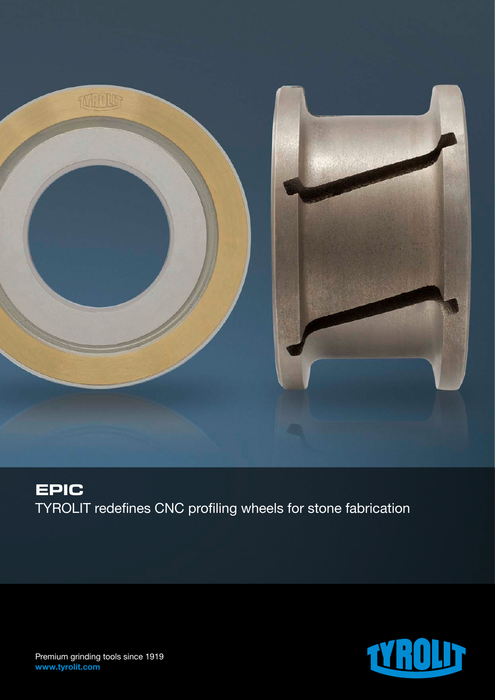

# **EPIC** TYROLIT redefines CNC profiling wheels for stone fabrication



Premium grinding tools since 1919 www.tyrolit.com